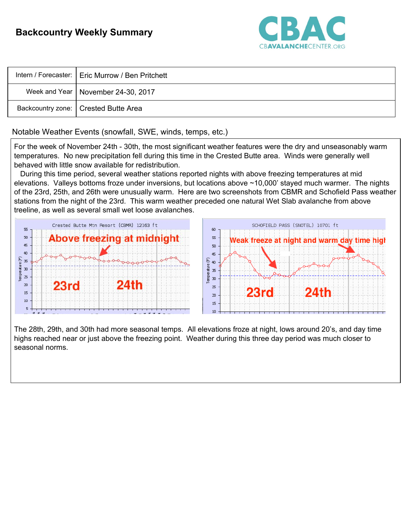

| Intern / Forecaster:   Eric Murrow / Ben Pritchett |
|----------------------------------------------------|
| Week and Year   November 24-30, 2017               |
| Backcountry zone:   Crested Butte Area             |

### Notable Weather Events (snowfall, SWE, winds, temps, etc.)

For the week of November 24th - 30th, the most significant weather features were the dry and unseasonably warm temperatures. No new precipitation fell during this time in the Crested Butte area. Winds were generally well behaved with little snow available for redistribution.

During this time period, several weather stations reported nights with above freezing temperatures at mid elevations. Valleys bottoms froze under inversions, but locations above ~10,000' stayed much warmer. The nights of the 23rd, 25th, and 26th were unusually warm. Here are two screenshots from CBMR and Schofield Pass weather stations from the night of the 23rd. This warm weather preceded one natural Wet Slab avalanche from above treeline, as well as several small wet loose avalanches.



The 28th, 29th, and 30th had more seasonal temps. All elevations froze at night, lows around 20's, and day time highs reached near or just above the freezing point. Weather during this three day period was much closer to seasonal norms.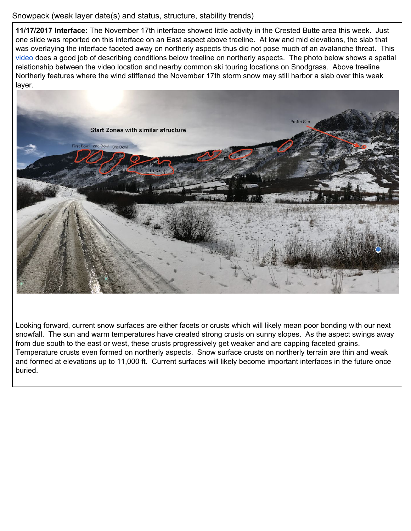# Snowpack (weak layer date(s) and status, structure, stability trends)

**11/17/2017 Interface:** The November 17th interface showed little activity in the Crested Butte area this week. Just one slide was reported on this interface on an East aspect above treeline. At low and mid elevations, the slab that was overlaying the interface faceted away on northerly aspects thus did not pose much of an avalanche threat. This [video](https://www.youtube.com/watch?v=m7RTAh2FZOE&t=2s) does a good job of describing conditions below treeline on northerly aspects. The photo below shows a spatial relationship between the video location and nearby common ski touring locations on Snodgrass. Above treeline Northerly features where the wind stiffened the November 17th storm snow may still harbor a slab over this weak layer.



Looking forward, current snow surfaces are either facets or crusts which will likely mean poor bonding with our next snowfall. The sun and warm temperatures have created strong crusts on sunny slopes. As the aspect swings away from due south to the east or west, these crusts progressively get weaker and are capping faceted grains. Temperature crusts even formed on northerly aspects. Snow surface crusts on northerly terrain are thin and weak and formed at elevations up to 11,000 ft. Current surfaces will likely become important interfaces in the future once buried.